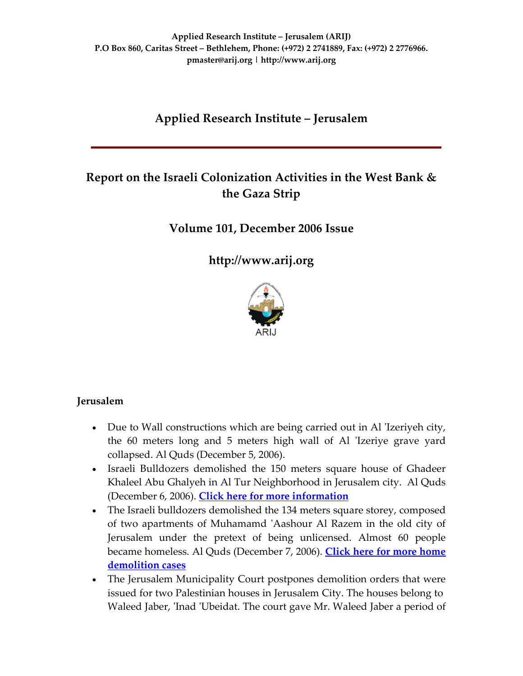# **Applied Research Institute – Jerusalem**

# **Report on the Israeli Colonization Activities in the West Bank & the Gaza Strip**

# **Volume 101, December 2006 Issue**

**[http://www.arij.org](http://www.arij.org/)**



# **Jerusalem**

- Due to Wall constructions which are being carried out in Al 'Izeriyeh city, the 60 meters long and 5 meters high wall of Al 'Izeriye grave yard collapsed. Al Quds (December 5, 2006).
- Israeli Bulldozers demolished the 150 meters square house of Ghadeer Khaleel Abu Ghalyeh in Al Tur Neighborhood in Jerusalem city. Al Quds (December 6, 2006). **Click here for more [information](http://www.poica.org/editor/case_studies/view.php?recordID=945)**
- The Israeli bulldozers demolished the 134 meters square storey, composed of two apartments of Muhamamd ʹAashour Al Razem in the old city of Jerusalem under the pretext of being unlicensed. Almost 60 people became homeless. Al Quds (December 7, 2006). **Click here for more [home](http://www.poica.org/editor/case_studies/view.php?recordID=907) [demolition](http://www.poica.org/editor/case_studies/view.php?recordID=907) cases**
- The Jerusalem Municipality Court postpones demolition orders that were issued for two Palestinian houses in Jerusalem City. The houses belong to Waleed Jaber, 'Inad 'Ubeidat. The court gave Mr. Waleed Jaber a period of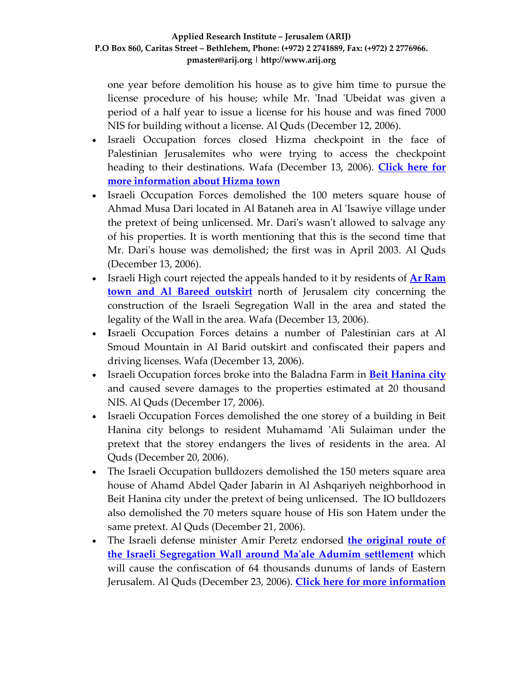one year before demolition his house as to give him time to pursue the license procedure of his house; while Mr. 'Inad 'Ubeidat was given a period of a half year to issue a license for his house and was fined 7000 NIS for building without a license. Al Quds (December 12, 2006).

- Israeli Occupation forces closed Hizma checkpoint in the face of Palestinian Jerusalemites who were trying to access the checkpoint heading to their destinations. Wafa (December 13, 2006). **[Click](http://www.poica.org/editor/case_studies/view.php?recordID=900) here for more [information](http://www.poica.org/editor/case_studies/view.php?recordID=900) about Hizma town**
- Israeli Occupation Forces demolished the 100 meters square house of Ahmad Musa Dari located in Al Bataneh area in Al ʹIsawiye village under the pretext of being unlicensed. Mr. Dariʹs wasnʹt allowed to salvage any of his properties. It is worth mentioning that this is the second time that Mr. Dari's house was demolished; the first was in April 2003. Al Quds (December 13, 2006).
- Israeli High court rejected the appeals handed to it by residents of **Ar [Ram](http://www.poica.org/editor/case_studies/view.php?recordID=820) town and Al Bareed [outskirt](http://www.poica.org/editor/case_studies/view.php?recordID=820)** north of Jerusalem city concerning the construction of the Israeli Segregation Wall in the area and stated the legality of the Wall in the area. Wafa (December 13, 2006).
- **I**sraeli Occupation Forces detains a number of Palestinian cars at Al Smoud Mountain in Al Barid outskirt and confiscated their papers and driving licenses. Wafa (December 13, 2006).
- Israeli Occupation forces broke into the Baladna Farm in **Beit [Hanina](http://www.poica.org/editor/case_studies/view.php?recordID=899) city** and caused severe damages to the properties estimated at 20 thousand NIS. Al Quds (December 17, 2006).
- Israeli Occupation Forces demolished the one storey of a building in Beit Hanina city belongs to resident Muhamamd ʹAli Sulaiman under the pretext that the storey endangers the lives of residents in the area. Al Quds (December 20, 2006).
- The Israeli Occupation bulldozers demolished the 150 meters square area house of Ahamd Abdel Qader Jabarin in Al Ashqariyeh neighborhood in Beit Hanina city under the pretext of being unlicensed. The IO bulldozers also demolished the 70 meters square house of His son Hatem under the same pretext. Al Quds (December 21, 2006).
- The Israeli defense minister Amir Peretz endorsed **the [original](http://www.poica.org/editor/case_studies/view.php?recordID=656) route of the Israeli [Segregation](http://www.poica.org/editor/case_studies/view.php?recordID=656) Wall around Maʹale Adumim settlement** which will cause the confiscation of 64 thousands dunums of lands of Eastern Jerusalem. Al Quds (December 23, 2006). **Click here for more [information](http://www.arij.org/pub/Geopolitical_Jerusalem/Jeruslem_Fact_Sheet.pdf)**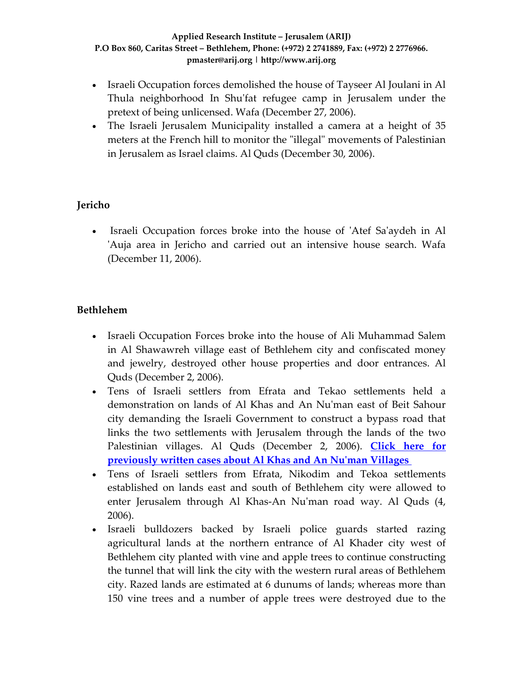- Israeli Occupation forces demolished the house of Tayseer Al Joulani in Al Thula neighborhood In Shu'fat refugee camp in Jerusalem under the pretext of being unlicensed. Wafa (December 27, 2006).
- The Israeli Jerusalem Municipality installed a camera at a height of 35 meters at the French hill to monitor the "illegal" movements of Palestinian in Jerusalem as Israel claims. Al Quds (December 30, 2006).

# **Jericho**

• Israeli Occupation forces broke into the house of 'Atef Sa'aydeh in Al ʹAuja area in Jericho and carried out an intensive house search. Wafa (December 11, 2006).

# **Bethlehem**

- Israeli Occupation Forces broke into the house of Ali Muhammad Salem in Al Shawawreh village east of Bethlehem city and confiscated money and jewelry, destroyed other house properties and door entrances. Al Quds (December 2, 2006).
- Tens of Israeli settlers from Efrata and Tekao settlements held a demonstration on lands of Al Khas and An Nuʹman east of Beit Sahour city demanding the Israeli Government to construct a bypass road that links the two settlements with Jerusalem through the lands of the two Palestinian villages. Al Quds (December 2, 2006). **[Click](http://www.poica.org/editor/case_studies/view.php?recordID=667) here for [previously](http://www.poica.org/editor/case_studies/view.php?recordID=667) written cases about Al Khas and An Nuʹman Villages**
- Tens of Israeli settlers from Efrata, Nikodim and Tekoa settlements established on lands east and south of Bethlehem city were allowed to enter Jerusalem through Al Khas-An Nu'man road way. Al Quds (4, 2006).
- Israeli bulldozers backed by Israeli police guards started razing agricultural lands at the northern entrance of Al Khader city west of Bethlehem city planted with vine and apple trees to continue constructing the tunnel that will link the city with the western rural areas of Bethlehem city. Razed lands are estimated at 6 dunums of lands; whereas more than 150 vine trees and a number of apple trees were destroyed due to the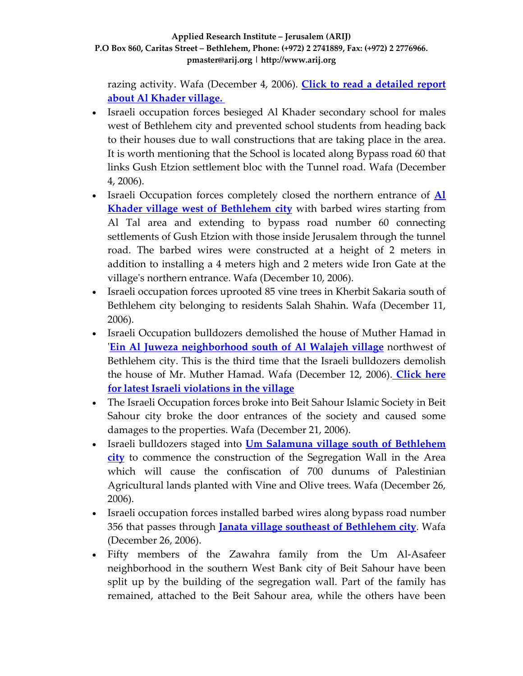razing activity. Wafa (December 4, 2006). **Click to read a [detailed](http://www.poica.org/editor/case_studies/view.php?recordID=942) report about Al [Khader](http://www.poica.org/editor/case_studies/view.php?recordID=942) village.**

- Israeli occupation forces besieged Al Khader secondary school for males west of Bethlehem city and prevented school students from heading back to their houses due to wall constructions that are taking place in the area. It is worth mentioning that the School is located along Bypass road 60 that links Gush Etzion settlement bloc with the Tunnel road. Wafa (December 4, 2006).
- Israeli Occupation forces completely closed the northern entrance of **[Al](http://www.poica.org/editor/case_studies/view.php?recordID=942) Khader village west of [Bethlehem](http://www.poica.org/editor/case_studies/view.php?recordID=942) city** with barbed wires starting from Al Tal area and extending to bypass road number 60 connecting settlements of Gush Etzion with those inside Jerusalem through the tunnel road. The barbed wires were constructed at a height of 2 meters in addition to installing a 4 meters high and 2 meters wide Iron Gate at the villageʹs northern entrance. Wafa (December 10, 2006).
- Israeli occupation forces uprooted 85 vine trees in Kherbit Sakaria south of Bethlehem city belonging to residents Salah Shahin. Wafa (December 11, 2006).
- Israeli Occupation bulldozers demolished the house of Muther Hamad in ʹ**Ein Al Juweza [neighborhood](http://www.poica.org/editor/case_studies/view.php?recordID=806) south of Al Walajeh village** northwest of Bethlehem city. This is the third time that the Israeli bulldozers demolish the house of Mr. Muther Hamad. Wafa (December 12, 2006). **[Click](http://www.poica.org/editor/case_studies/view.php?recordID=917) here for latest Israeli [violations](http://www.poica.org/editor/case_studies/view.php?recordID=917) in the village**
- The Israeli Occupation forces broke into Beit Sahour Islamic Society in Beit Sahour city broke the door entrances of the society and caused some damages to the properties. Wafa (December 21, 2006).
- Israeli bulldozers staged into **Um Salamuna village south of [Bethlehem](http://www.poica.org/editor/case_studies/view.php?recordID=910) [city](http://www.poica.org/editor/case_studies/view.php?recordID=910)** to commence the construction of the Segregation Wall in the Area which will cause the confiscation of 700 dunums of Palestinian Agricultural lands planted with Vine and Olive trees. Wafa (December 26, 2006).
- Israeli occupation forces installed barbed wires along bypass road number 356 that passes through **Janata village southeast of [Bethlehem](http://www.poica.org/editor/case_studies/view.php?recordID=797) city**. Wafa (December 26, 2006).
- Fifty members of the Zawahra family from the Um Al‐Asafeer neighborhood in the southern West Bank city of Beit Sahour have been split up by the building of the segregation wall. Part of the family has remained, attached to the Beit Sahour area, while the others have been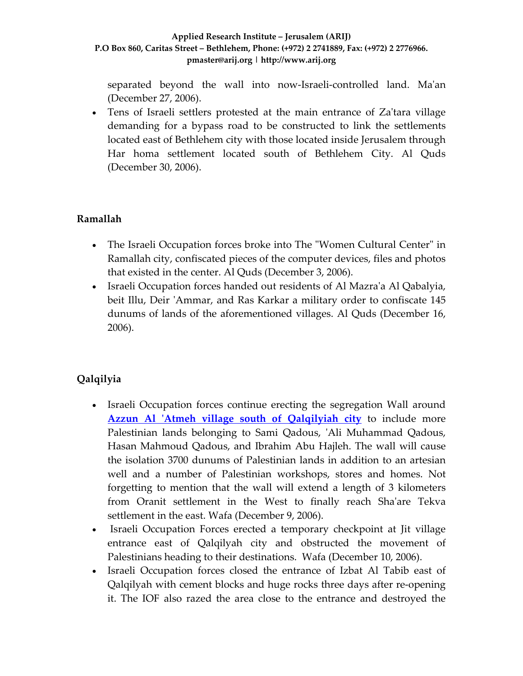separated beyond the wall into now-Israeli-controlled land. Ma'an (December 27, 2006).

• Tens of Israeli settlers protested at the main entrance of Za'tara village demanding for a bypass road to be constructed to link the settlements located east of Bethlehem city with those located inside Jerusalem through Har homa settlement located south of Bethlehem City. Al Quds (December 30, 2006).

# **Ramallah**

- The Israeli Occupation forces broke into The "Women Cultural Center" in Ramallah city, confiscated pieces of the computer devices, files and photos that existed in the center. Al Quds (December 3, 2006).
- Israeli Occupation forces handed out residents of Al Mazra'a Al Qabalyia, beit Illu, Deir 'Ammar, and Ras Karkar a military order to confiscate 145 dunums of lands of the aforementioned villages. Al Quds (December 16, 2006).

# **Qalqilyia**

- Israeli Occupation forces continue erecting the segregation Wall around **Azzun Al ʹAtmeh village south of [Qalqilyiah](http://www.poica.org/editor/case_studies/view.php?recordID=915) city** to include more Palestinian lands belonging to Sami Qadous, 'Ali Muhammad Qadous, Hasan Mahmoud Qadous, and Ibrahim Abu Hajleh. The wall will cause the isolation 3700 dunums of Palestinian lands in addition to an artesian well and a number of Palestinian workshops, stores and homes. Not forgetting to mention that the wall will extend a length of 3 kilometers from Oranit settlement in the West to finally reach Sha'are Tekva settlement in the east. Wafa (December 9, 2006).
- Israeli Occupation Forces erected a temporary checkpoint at Jit village entrance east of Qalqilyah city and obstructed the movement of Palestinians heading to their destinations. Wafa (December 10, 2006).
- Israeli Occupation forces closed the entrance of Izbat Al Tabib east of Qalqilyah with cement blocks and huge rocks three days after re‐opening it. The IOF also razed the area close to the entrance and destroyed the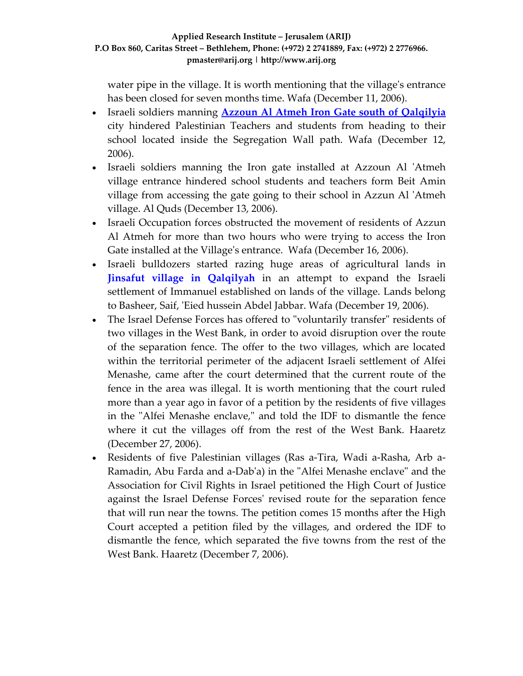water pipe in the village. It is worth mentioning that the village's entrance has been closed for seven months time. Wafa (December 11, 2006).

- Israeli soldiers manning **Azzoun Al Atmeh Iron Gate south of [Qalqilyia](http://www.poica.org/editor/case_studies/view.php?recordID=973)** city hindered Palestinian Teachers and students from heading to their school located inside the Segregation Wall path. Wafa (December 12, 2006).
- Israeli soldiers manning the Iron gate installed at Azzoun Al 'Atmeh village entrance hindered school students and teachers form Beit Amin village from accessing the gate going to their school in Azzun Al ʹAtmeh village. Al Quds (December 13, 2006).
- Israeli Occupation forces obstructed the movement of residents of Azzun Al Atmeh for more than two hours who were trying to access the Iron Gate installed at the Village's entrance. Wafa (December 16, 2006).
- Israeli bulldozers started razing huge areas of agricultural lands in **Jinsafut village in [Qalqilyah](http://www.poica.org/editor/case_studies/view.php?recordID=971)** in an attempt to expand the Israeli settlement of Immanuel established on lands of the village. Lands belong to Basheer, Saif, ʹEied hussein Abdel Jabbar. Wafa (December 19, 2006).
- The Israel Defense Forces has offered to "voluntarily transfer" residents of two villages in the West Bank, in order to avoid disruption over the route of the separation fence. The offer to the two villages, which are located within the territorial perimeter of the adjacent Israeli settlement of Alfei Menashe, came after the court determined that the current route of the fence in the area was illegal. It is worth mentioning that the court ruled more than a year ago in favor of a petition by the residents of five villages in the "Alfei Menashe enclave," and told the IDF to dismantle the fence where it cut the villages off from the rest of the West Bank. Haaretz (December 27, 2006).
- Residents of five Palestinian villages (Ras a-Tira, Wadi a-Rasha, Arb a-Ramadin, Abu Farda and a-Dab'a) in the "Alfei Menashe enclave" and the Association for Civil Rights in Israel petitioned the High Court of Justice against the Israel Defense Forcesʹ revised route for the separation fence that will run near the towns. The petition comes 15 months after the High Court accepted a petition filed by the villages, and ordered the IDF to dismantle the fence, which separated the five towns from the rest of the West Bank. Haaretz (December 7, 2006).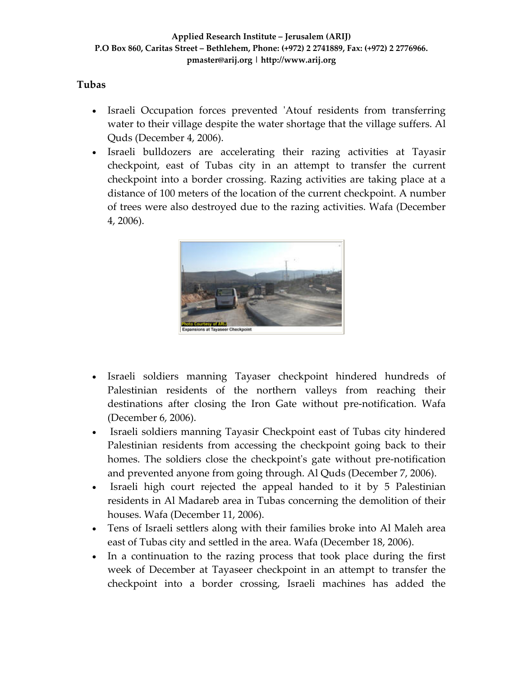### **Tubas**

- Israeli Occupation forces prevented 'Atouf residents from transferring water to their village despite the water shortage that the village suffers. Al Quds (December 4, 2006).
- Israeli bulldozers are accelerating their razing activities at Tayasir checkpoint, east of Tubas city in an attempt to transfer the current checkpoint into a border crossing. Razing activities are taking place at a distance of 100 meters of the location of the current checkpoint. A number of trees were also destroyed due to the razing activities. Wafa (December 4, 2006).



- Israeli soldiers manning Tayaser checkpoint hindered hundreds of Palestinian residents of the northern valleys from reaching their destinations after closing the Iron Gate without pre‐notification. Wafa (December 6, 2006).
- Israeli soldiers manning Tayasir Checkpoint east of Tubas city hindered Palestinian residents from accessing the checkpoint going back to their homes. The soldiers close the checkpoint's gate without pre-notification and prevented anyone from going through. Al Quds (December 7, 2006).
- Israeli high court rejected the appeal handed to it by 5 Palestinian residents in Al Madareb area in Tubas concerning the demolition of their houses. Wafa (December 11, 2006).
- Tens of Israeli settlers along with their families broke into Al Maleh area east of Tubas city and settled in the area. Wafa (December 18, 2006).
- In a continuation to the razing process that took place during the first week of December at Tayaseer checkpoint in an attempt to transfer the checkpoint into a border crossing, Israeli machines has added the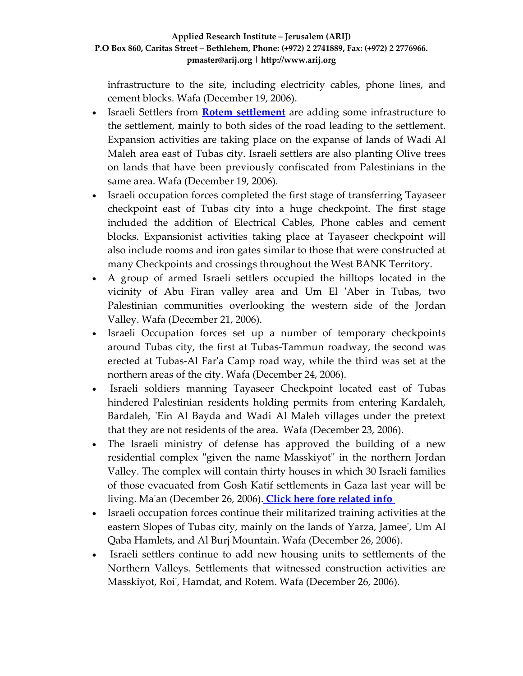infrastructure to the site, including electricity cables, phone lines, and cement blocks. Wafa (December 19, 2006).

- Israeli Settlers from **Rotem [settlement](http://www.poica.org/editor/case_studies/view.php?recordID=745)** are adding some infrastructure to the settlement, mainly to both sides of the road leading to the settlement. Expansion activities are taking place on the expanse of lands of Wadi Al Maleh area east of Tubas city. Israeli settlers are also planting Olive trees on lands that have been previously confiscated from Palestinians in the same area. Wafa (December 19, 2006).
- Israeli occupation forces completed the first stage of transferring Tayaseer checkpoint east of Tubas city into a huge checkpoint. The first stage included the addition of Electrical Cables, Phone cables and cement blocks. Expansionist activities taking place at Tayaseer checkpoint will also include rooms and iron gates similar to those that were constructed at many Checkpoints and crossings throughout the West BANK Territory.
- A group of armed Israeli settlers occupied the hilltops located in the vicinity of Abu Firan valley area and Um El ʹAber in Tubas, two Palestinian communities overlooking the western side of the Jordan Valley. Wafa (December 21, 2006).
- Israeli Occupation forces set up a number of temporary checkpoints around Tubas city, the first at Tubas‐Tammun roadway, the second was erected at Tubas‐Al Farʹa Camp road way, while the third was set at the northern areas of the city. Wafa (December 24, 2006).
- Israeli soldiers manning Tayaseer Checkpoint located east of Tubas hindered Palestinian residents holding permits from entering Kardaleh, Bardaleh, 'Ein Al Bayda and Wadi Al Maleh villages under the pretext that they are not residents of the area. Wafa (December 23, 2006).
- The Israeli ministry of defense has approved the building of a new residential complex "given the name Masskiyot" in the northern Jordan Valley. The complex will contain thirty houses in which 30 Israeli families of those evacuated from Gosh Katif settlements in Gaza last year will be living. Maʹan (December 26, 2006). **Click here fore [related](http://www.poica.org/editor/case_studies/view.php?recordID=928) info**
- Israeli occupation forces continue their militarized training activities at the eastern Slopes of Tubas city, mainly on the lands of Yarza, Jameeʹ, Um Al Qaba Hamlets, and Al Burj Mountain. Wafa (December 26, 2006).
- Israeli settlers continue to add new housing units to settlements of the Northern Valleys. Settlements that witnessed construction activities are Masskiyot, Roiʹ, Hamdat, and Rotem. Wafa (December 26, 2006).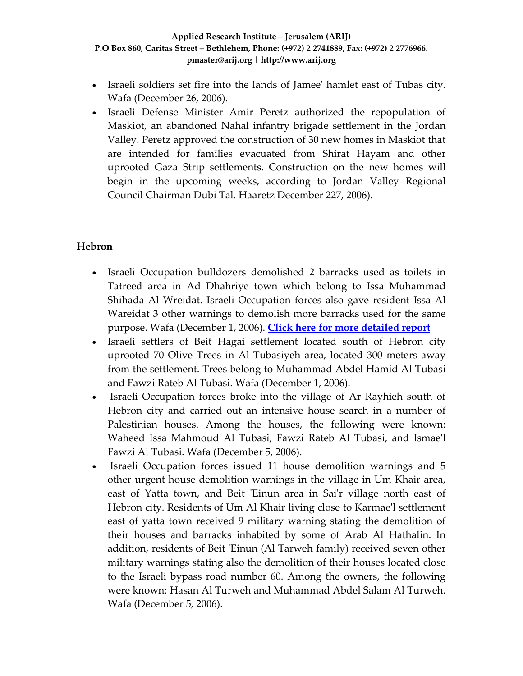- Israeli soldiers set fire into the lands of Jameeʹ hamlet east of Tubas city. Wafa (December 26, 2006).
- Israeli Defense Minister Amir Peretz authorized the repopulation of Maskiot, an abandoned Nahal infantry brigade settlement in the Jordan Valley. Peretz approved the construction of 30 new homes in Maskiot that are intended for families evacuated from Shirat Hayam and other uprooted Gaza Strip settlements. Construction on the new homes will begin in the upcoming weeks, according to Jordan Valley Regional Council Chairman Dubi Tal. Haaretz December 227, 2006).

### **Hebron**

- Israeli Occupation bulldozers demolished 2 barracks used as toilets in Tatreed area in Ad Dhahriye town which belong to Issa Muhammad Shihada Al Wreidat. Israeli Occupation forces also gave resident Issa Al Wareidat 3 other warnings to demolish more barracks used for the same purpose. Wafa (December 1, 2006). **Click here for more [detailed](http://www.poica.org/editor/case_studies/view.php?recordID=959) report**
- Israeli settlers of Beit Hagai settlement located south of Hebron city uprooted 70 Olive Trees in Al Tubasiyeh area, located 300 meters away from the settlement. Trees belong to Muhammad Abdel Hamid Al Tubasi and Fawzi Rateb Al Tubasi. Wafa (December 1, 2006).
- Israeli Occupation forces broke into the village of Ar Rayhieh south of Hebron city and carried out an intensive house search in a number of Palestinian houses. Among the houses, the following were known: Waheed Issa Mahmoud Al Tubasi, Fawzi Rateb Al Tubasi, and Ismaeʹl Fawzi Al Tubasi. Wafa (December 5, 2006).
- Israeli Occupation forces issued 11 house demolition warnings and 5 other urgent house demolition warnings in the village in Um Khair area, east of Yatta town, and Beit 'Einun area in Sai'r village north east of Hebron city. Residents of Um Al Khair living close to Karmae'l settlement east of yatta town received 9 military warning stating the demolition of their houses and barracks inhabited by some of Arab Al Hathalin. In addition, residents of Beit 'Einun (Al Tarweh family) received seven other military warnings stating also the demolition of their houses located close to the Israeli bypass road number 60. Among the owners, the following were known: Hasan Al Turweh and Muhammad Abdel Salam Al Turweh. Wafa (December 5, 2006).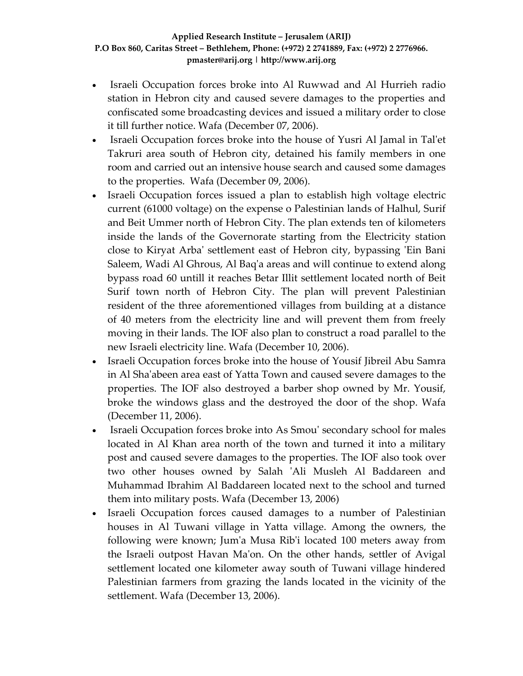- Israeli Occupation forces broke into Al Ruwwad and Al Hurrieh radio station in Hebron city and caused severe damages to the properties and confiscated some broadcasting devices and issued a military order to close it till further notice. Wafa (December 07, 2006).
- Israeli Occupation forces broke into the house of Yusri Al Jamal in Tal'et Takruri area south of Hebron city, detained his family members in one room and carried out an intensive house search and caused some damages to the properties. Wafa (December 09, 2006).
- Israeli Occupation forces issued a plan to establish high voltage electric current (61000 voltage) on the expense o Palestinian lands of Halhul, Surif and Beit Ummer north of Hebron City. The plan extends ten of kilometers inside the lands of the Governorate starting from the Electricity station close to Kiryat Arbaʹ settlement east of Hebron city, bypassing ʹEin Bani Saleem, Wadi Al Ghrous, Al Baqʹa areas and will continue to extend along bypass road 60 untill it reaches Betar Illit settlement located north of Beit Surif town north of Hebron City. The plan will prevent Palestinian resident of the three aforementioned villages from building at a distance of 40 meters from the electricity line and will prevent them from freely moving in their lands. The IOF also plan to construct a road parallel to the new Israeli electricity line. Wafa (December 10, 2006).
- Israeli Occupation forces broke into the house of Yousif Jibreil Abu Samra in Al Shaʹabeen area east of Yatta Town and caused severe damages to the properties. The IOF also destroyed a barber shop owned by Mr. Yousif, broke the windows glass and the destroyed the door of the shop. Wafa (December 11, 2006).
- Israeli Occupation forces broke into As Smou' secondary school for males located in Al Khan area north of the town and turned it into a military post and caused severe damages to the properties. The IOF also took over two other houses owned by Salah 'Ali Musleh Al Baddareen and Muhammad Ibrahim Al Baddareen located next to the school and turned them into military posts. Wafa (December 13, 2006)
- Israeli Occupation forces caused damages to a number of Palestinian houses in Al Tuwani village in Yatta village. Among the owners, the following were known; Jumʹa Musa Ribʹi located 100 meters away from the Israeli outpost Havan Maʹon. On the other hands, settler of Avigal settlement located one kilometer away south of Tuwani village hindered Palestinian farmers from grazing the lands located in the vicinity of the settlement. Wafa (December 13, 2006).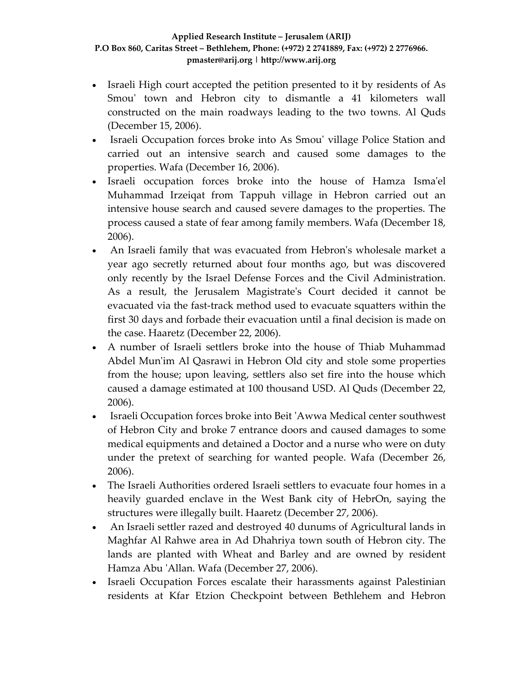- Israeli High court accepted the petition presented to it by residents of As Smou' town and Hebron city to dismantle a 41 kilometers wall constructed on the main roadways leading to the two towns. Al Quds (December 15, 2006).
- Israeli Occupation forces broke into As Smouʹ village Police Station and carried out an intensive search and caused some damages to the properties. Wafa (December 16, 2006).
- Israeli occupation forces broke into the house of Hamza Ismaʹel Muhammad Irzeiqat from Tappuh village in Hebron carried out an intensive house search and caused severe damages to the properties. The process caused a state of fear among family members. Wafa (December 18, 2006).
- An Israeli family that was evacuated from Hebron's wholesale market a year ago secretly returned about four months ago, but was discovered only recently by the Israel Defense Forces and the Civil Administration. As a result, the Jerusalem Magistrateʹs Court decided it cannot be evacuated via the fast‐track method used to evacuate squatters within the first 30 days and forbade their evacuation until a final decision is made on the case. Haaretz (December 22, 2006).
- A number of Israeli settlers broke into the house of Thiab Muhammad Abdel Mun'im Al Qasrawi in Hebron Old city and stole some properties from the house; upon leaving, settlers also set fire into the house which caused a damage estimated at 100 thousand USD. Al Quds (December 22, 2006).
- Israeli Occupation forces broke into Beit ʹAwwa Medical center southwest of Hebron City and broke 7 entrance doors and caused damages to some medical equipments and detained a Doctor and a nurse who were on duty under the pretext of searching for wanted people. Wafa (December 26, 2006).
- The Israeli Authorities ordered Israeli settlers to evacuate four homes in a heavily guarded enclave in the West Bank city of HebrOn, saying the structures were illegally built. Haaretz (December 27, 2006).
- An Israeli settler razed and destroyed 40 dunums of Agricultural lands in Maghfar Al Rahwe area in Ad Dhahriya town south of Hebron city. The lands are planted with Wheat and Barley and are owned by resident Hamza Abu ʹAllan. Wafa (December 27, 2006).
- Israeli Occupation Forces escalate their harassments against Palestinian residents at Kfar Etzion Checkpoint between Bethlehem and Hebron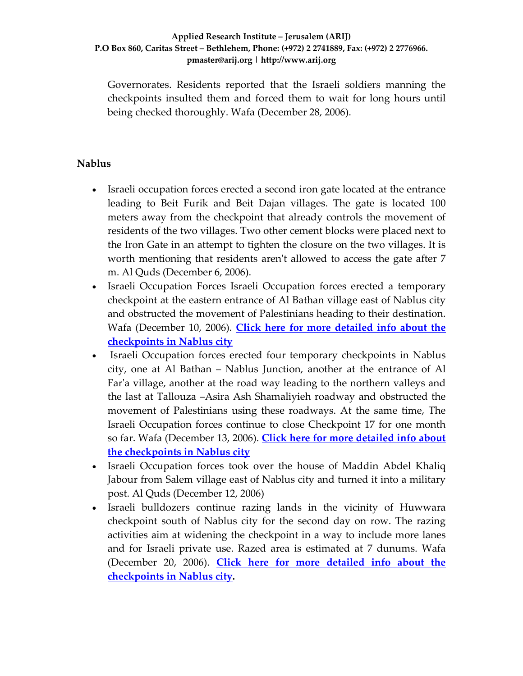Governorates. Residents reported that the Israeli soldiers manning the checkpoints insulted them and forced them to wait for long hours until being checked thoroughly. Wafa (December 28, 2006).

### **Nablus**

- Israeli occupation forces erected a second iron gate located at the entrance leading to Beit Furik and Beit Dajan villages. The gate is located 100 meters away from the checkpoint that already controls the movement of residents of the two villages. Two other cement blocks were placed next to the Iron Gate in an attempt to tighten the closure on the two villages. It is worth mentioning that residents aren't allowed to access the gate after 7 m. Al Quds (December 6, 2006).
- Israeli Occupation Forces Israeli Occupation forces erected a temporary checkpoint at the eastern entrance of Al Bathan village east of Nablus city and obstructed the movement of Palestinians heading to their destination. Wafa (December 10, 2006). **Click here for more [detailed](http://www.poica.org/editor/case_studies/view.php?recordID=946) info about the [checkpoints](http://www.poica.org/editor/case_studies/view.php?recordID=946) in Nablus city**
- Israeli Occupation forces erected four temporary checkpoints in Nablus city, one at Al Bathan – Nablus Junction, another at the entrance of Al Far'a village, another at the road way leading to the northern valleys and the last at Tallouza –Asira Ash Shamaliyieh roadway and obstructed the movement of Palestinians using these roadways. At the same time, The Israeli Occupation forces continue to close Checkpoint 17 for one month so far. Wafa (December 13, 2006). **Click here for more [detailed](http://www.poica.org/editor/case_studies/view.php?recordID=946) info about the [checkpoints](http://www.poica.org/editor/case_studies/view.php?recordID=946) in Nablus city**
- Israeli Occupation forces took over the house of Maddin Abdel Khaliq Jabour from Salem village east of Nablus city and turned it into a military post. Al Quds (December 12, 2006)
- Israeli bulldozers continue razing lands in the vicinity of Huwwara checkpoint south of Nablus city for the second day on row. The razing activities aim at widening the checkpoint in a way to include more lanes and for Israeli private use. Razed area is estimated at 7 dunums. Wafa (December 20, 2006). **Click here for more [detailed](http://www.poica.org/editor/case_studies/view.php?recordID=946) info about the [checkpoints](http://www.poica.org/editor/case_studies/view.php?recordID=946) in Nablus city.**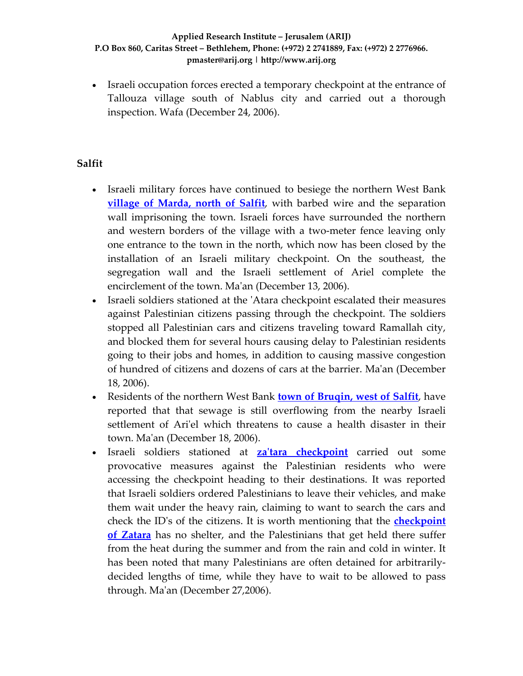• Israeli occupation forces erected a temporary checkpoint at the entrance of Tallouza village south of Nablus city and carried out a thorough inspection. Wafa (December 24, 2006).

### **Salfit**

- Israeli military forces have continued to besiege the northern West Bank **village of [Marda,](http://www.poica.org/editor/case_studies/view.php?recordID=791) north of Salfit**, with barbed wire and the separation wall imprisoning the town. Israeli forces have surrounded the northern and western borders of the village with a two-meter fence leaving only one entrance to the town in the north, which now has been closed by the installation of an Israeli military checkpoint. On the southeast, the segregation wall and the Israeli settlement of Ariel complete the encirclement of the town. Ma'an (December 13, 2006).
- Israeli soldiers stationed at the ʹAtara checkpoint escalated their measures against Palestinian citizens passing through the checkpoint. The soldiers stopped all Palestinian cars and citizens traveling toward Ramallah city, and blocked them for several hours causing delay to Palestinian residents going to their jobs and homes, in addition to causing massive congestion of hundred of citizens and dozens of cars at the barrier. Maʹan (December 18, 2006).
- Residents of the northern West Bank **town of [Bruqin,](http://www.poica.org/editor/case_studies/view.php?recordID=863) west of Salfit**, have reported that that sewage is still overflowing from the nearby Israeli settlement of Ari'el which threatens to cause a health disaster in their town. Maʹan (December 18, 2006).
- Israeli soldiers stationed at **zaʹtara [checkpoint](http://www.poica.org/editor/case_studies/view.php?recordID=764)** carried out some provocative measures against the Palestinian residents who were accessing the checkpoint heading to their destinations. It was reported that Israeli soldiers ordered Palestinians to leave their vehicles, and make them wait under the heavy rain, claiming to want to search the cars and check the IDʹs of the citizens. It is worth mentioning that the **[checkpoint](http://www.poica.org/editor/case_studies/view.php?recordID=764) of [Zatara](http://www.poica.org/editor/case_studies/view.php?recordID=764)** has no shelter, and the Palestinians that get held there suffer from the heat during the summer and from the rain and cold in winter. It has been noted that many Palestinians are often detained for arbitrarilydecided lengths of time, while they have to wait to be allowed to pass through. Maʹan (December 27,2006).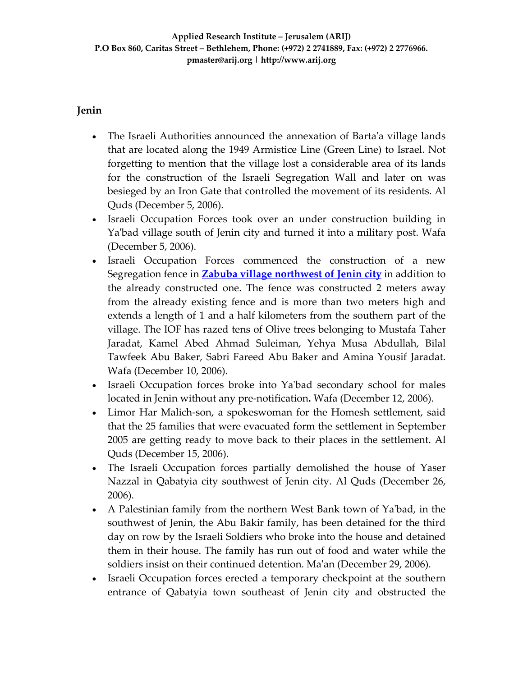### **Jenin**

- The Israeli Authorities announced the annexation of Barta'a village lands that are located along the 1949 Armistice Line (Green Line) to Israel. Not forgetting to mention that the village lost a considerable area of its lands for the construction of the Israeli Segregation Wall and later on was besieged by an Iron Gate that controlled the movement of its residents. Al Quds (December 5, 2006).
- Israeli Occupation Forces took over an under construction building in Ya'bad village south of Jenin city and turned it into a military post. Wafa (December 5, 2006).
- Israeli Occupation Forces commenced the construction of a new Segregation fence in **Zabuba village [northwest](http://www.poica.org/editor/case_studies/view.php?recordID=884) of Jenin city** in addition to the already constructed one. The fence was constructed 2 meters away from the already existing fence and is more than two meters high and extends a length of 1 and a half kilometers from the southern part of the village. The IOF has razed tens of Olive trees belonging to Mustafa Taher Jaradat, Kamel Abed Ahmad Suleiman, Yehya Musa Abdullah, Bilal Tawfeek Abu Baker, Sabri Fareed Abu Baker and Amina Yousif Jaradat. Wafa (December 10, 2006).
- Israeli Occupation forces broke into Ya'bad secondary school for males located in Jenin without any pre‐notification**.** Wafa (December 12, 2006).
- Limor Har Malich-son, a spokeswoman for the Homesh settlement, said that the 25 families that were evacuated form the settlement in September 2005 are getting ready to move back to their places in the settlement. Al Quds (December 15, 2006).
- The Israeli Occupation forces partially demolished the house of Yaser Nazzal in Qabatyia city southwest of Jenin city. Al Quds (December 26, 2006).
- A Palestinian family from the northern West Bank town of Ya'bad, in the southwest of Jenin, the Abu Bakir family, has been detained for the third day on row by the Israeli Soldiers who broke into the house and detained them in their house. The family has run out of food and water while the soldiers insist on their continued detention. Maʹan (December 29, 2006).
- Israeli Occupation forces erected a temporary checkpoint at the southern entrance of Qabatyia town southeast of Jenin city and obstructed the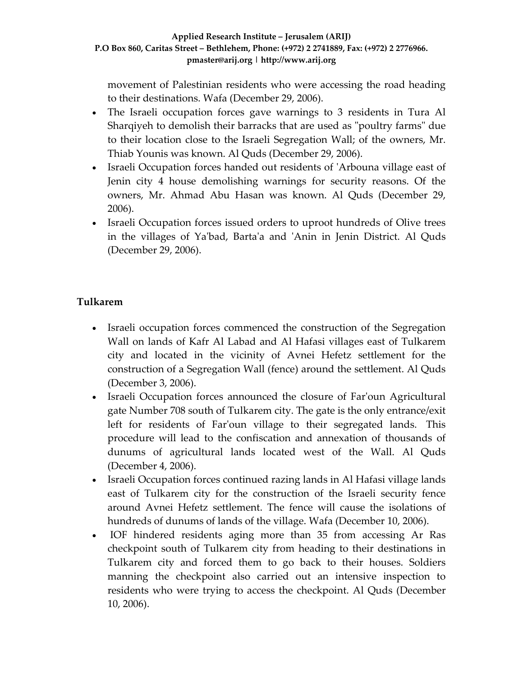movement of Palestinian residents who were accessing the road heading to their destinations. Wafa (December 29, 2006).

- The Israeli occupation forces gave warnings to 3 residents in Tura Al Sharqiyeh to demolish their barracks that are used as "poultry farms" due to their location close to the Israeli Segregation Wall; of the owners, Mr. Thiab Younis was known. Al Quds (December 29, 2006).
- Israeli Occupation forces handed out residents of 'Arbouna village east of Jenin city 4 house demolishing warnings for security reasons. Of the owners, Mr. Ahmad Abu Hasan was known. Al Quds (December 29, 2006).
- Israeli Occupation forces issued orders to uproot hundreds of Olive trees in the villages of Yaʹbad, Bartaʹa and ʹAnin in Jenin District. Al Quds (December 29, 2006).

# **Tulkarem**

- Israeli occupation forces commenced the construction of the Segregation Wall on lands of Kafr Al Labad and Al Hafasi villages east of Tulkarem city and located in the vicinity of Avnei Hefetz settlement for the construction of a Segregation Wall (fence) around the settlement. Al Quds (December 3, 2006).
- Israeli Occupation forces announced the closure of Far'oun Agricultural gate Number 708 south of Tulkarem city. The gate is the only entrance/exit left for residents of Farʹoun village to their segregated lands. This procedure will lead to the confiscation and annexation of thousands of dunums of agricultural lands located west of the Wall. Al Quds (December 4, 2006).
- Israeli Occupation forces continued razing lands in Al Hafasi village lands east of Tulkarem city for the construction of the Israeli security fence around Avnei Hefetz settlement. The fence will cause the isolations of hundreds of dunums of lands of the village. Wafa (December 10, 2006).
- IOF hindered residents aging more than 35 from accessing Ar Ras checkpoint south of Tulkarem city from heading to their destinations in Tulkarem city and forced them to go back to their houses. Soldiers manning the checkpoint also carried out an intensive inspection to residents who were trying to access the checkpoint. Al Quds (December 10, 2006).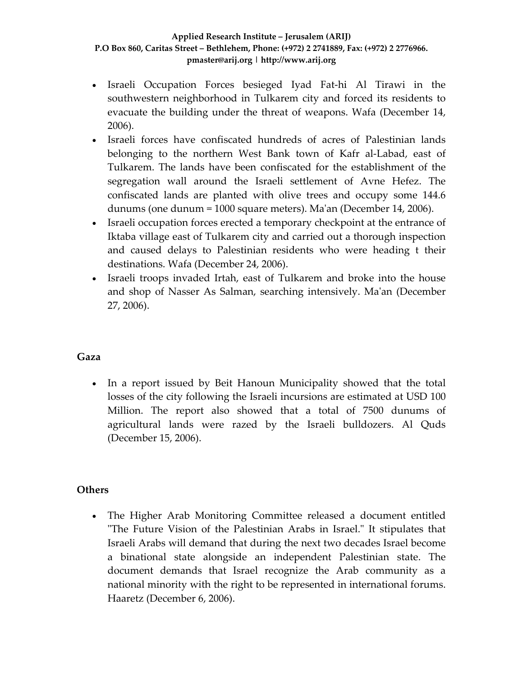- Israeli Occupation Forces besieged Iyad Fat‐hi Al Tirawi in the southwestern neighborhood in Tulkarem city and forced its residents to evacuate the building under the threat of weapons. Wafa (December 14, 2006).
- Israeli forces have confiscated hundreds of acres of Palestinian lands belonging to the northern West Bank town of Kafr al‐Labad, east of Tulkarem. The lands have been confiscated for the establishment of the segregation wall around the Israeli settlement of Avne Hefez. The confiscated lands are planted with olive trees and occupy some 144.6 dunums (one dunum = 1000 square meters). Maʹan (December 14, 2006).
- Israeli occupation forces erected a temporary checkpoint at the entrance of Iktaba village east of Tulkarem city and carried out a thorough inspection and caused delays to Palestinian residents who were heading t their destinations. Wafa (December 24, 2006).
- Israeli troops invaded Irtah, east of Tulkarem and broke into the house and shop of Nasser As Salman, searching intensively. Maʹan (December 27, 2006).

### **Gaza**

• In a report issued by Beit Hanoun Municipality showed that the total losses of the city following the Israeli incursions are estimated at USD 100 Million. The report also showed that a total of 7500 dunums of agricultural lands were razed by the Israeli bulldozers. Al Quds (December 15, 2006).

### **Others**

• The Higher Arab Monitoring Committee released a document entitled ʺThe Future Vision of the Palestinian Arabs in Israel.ʺ It stipulates that Israeli Arabs will demand that during the next two decades Israel become a binational state alongside an independent Palestinian state. The document demands that Israel recognize the Arab community as a national minority with the right to be represented in international forums. Haaretz (December 6, 2006).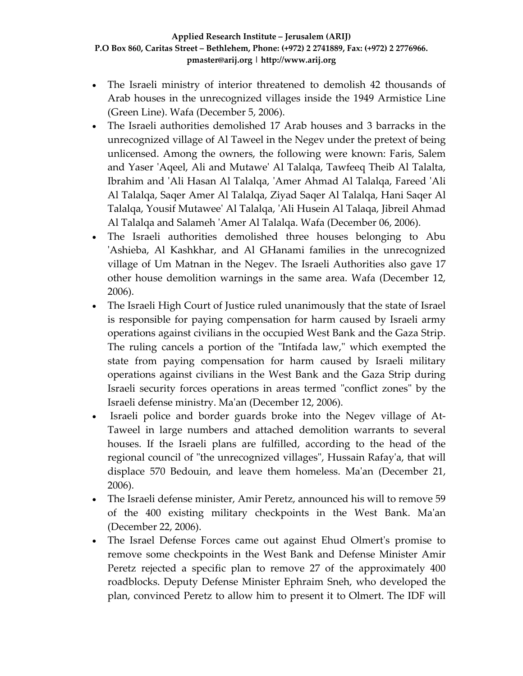- The Israeli ministry of interior threatened to demolish 42 thousands of Arab houses in the unrecognized villages inside the 1949 Armistice Line (Green Line). Wafa (December 5, 2006).
- The Israeli authorities demolished 17 Arab houses and 3 barracks in the unrecognized village of Al Taweel in the Negev under the pretext of being unlicensed. Among the owners, the following were known: Faris, Salem and Yaser ʹAqeel, Ali and Mutaweʹ Al Talalqa, Tawfeeq Theib Al Talalta, Ibrahim and ʹAli Hasan Al Talalqa, ʹAmer Ahmad Al Talalqa, Fareed ʹAli Al Talalqa, Saqer Amer Al Talalqa, Ziyad Saqer Al Talalqa, Hani Saqer Al Talalqa, Yousif Mutaweeʹ Al Talalqa, ʹAli Husein Al Talaqa, Jibreil Ahmad Al Talalqa and Salameh ʹAmer Al Talalqa. Wafa (December 06, 2006).
- The Israeli authorities demolished three houses belonging to Abu ʹAshieba, Al Kashkhar, and Al GHanami families in the unrecognized village of Um Matnan in the Negev. The Israeli Authorities also gave 17 other house demolition warnings in the same area. Wafa (December 12, 2006).
- The Israeli High Court of Justice ruled unanimously that the state of Israel is responsible for paying compensation for harm caused by Israeli army operations against civilians in the occupied West Bank and the Gaza Strip. The ruling cancels a portion of the "Intifada law," which exempted the state from paying compensation for harm caused by Israeli military operations against civilians in the West Bank and the Gaza Strip during Israeli security forces operations in areas termed "conflict zones" by the Israeli defense ministry. Maʹan (December 12, 2006).
- Israeli police and border guards broke into the Negev village of At‐ Taweel in large numbers and attached demolition warrants to several houses. If the Israeli plans are fulfilled, according to the head of the regional council of "the unrecognized villages", Hussain Rafay'a, that will displace 570 Bedouin, and leave them homeless. Maʹan (December 21, 2006).
- The Israeli defense minister, Amir Peretz, announced his will to remove 59 of the 400 existing military checkpoints in the West Bank. Maʹan (December 22, 2006).
- The Israel Defense Forces came out against Ehud Olmert's promise to remove some checkpoints in the West Bank and Defense Minister Amir Peretz rejected a specific plan to remove 27 of the approximately 400 roadblocks. Deputy Defense Minister Ephraim Sneh, who developed the plan, convinced Peretz to allow him to present it to Olmert. The IDF will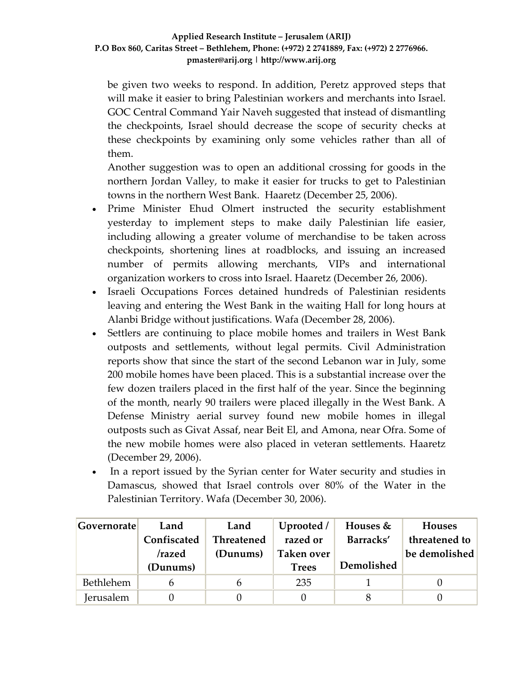be given two weeks to respond. In addition, Peretz approved steps that will make it easier to bring Palestinian workers and merchants into Israel. GOC Central Command Yair Naveh suggested that instead of dismantling the checkpoints, Israel should decrease the scope of security checks at these checkpoints by examining only some vehicles rather than all of them.

Another suggestion was to open an additional crossing for goods in the northern Jordan Valley, to make it easier for trucks to get to Palestinian towns in the northern West Bank. Haaretz (December 25, 2006).

- Prime Minister Ehud Olmert instructed the security establishment yesterday to implement steps to make daily Palestinian life easier, including allowing a greater volume of merchandise to be taken across checkpoints, shortening lines at roadblocks, and issuing an increased number of permits allowing merchants, VIPs and international organization workers to cross into Israel. Haaretz (December 26, 2006).
- Israeli Occupations Forces detained hundreds of Palestinian residents leaving and entering the West Bank in the waiting Hall for long hours at Alanbi Bridge without justifications. Wafa (December 28, 2006).
- Settlers are continuing to place mobile homes and trailers in West Bank outposts and settlements, without legal permits. Civil Administration reports show that since the start of the second Lebanon war in July, some 200 mobile homes have been placed. This is a substantial increase over the few dozen trailers placed in the first half of the year. Since the beginning of the month, nearly 90 trailers were placed illegally in the West Bank. A Defense Ministry aerial survey found new mobile homes in illegal outposts such as Givat Assaf, near Beit El, and Amona, near Ofra. Some of the new mobile homes were also placed in veteran settlements. Haaretz (December 29, 2006).
- In a report issued by the Syrian center for Water security and studies in Damascus, showed that Israel controls over 80% of the Water in the Palestinian Territory. Wafa (December 30, 2006).

| Governorate | Land        | Land              | Uprooted /   | Houses $&$ | <b>Houses</b> |
|-------------|-------------|-------------------|--------------|------------|---------------|
|             | Confiscated | <b>Threatened</b> | razed or     | Barracks'  | threatened to |
|             | /razed      | (Dunums)          | Taken over   |            | be demolished |
|             | (Dunums)    |                   | <b>Trees</b> | Demolished |               |
|             |             |                   |              |            |               |
| Bethlehem   |             | n                 | 235          |            |               |